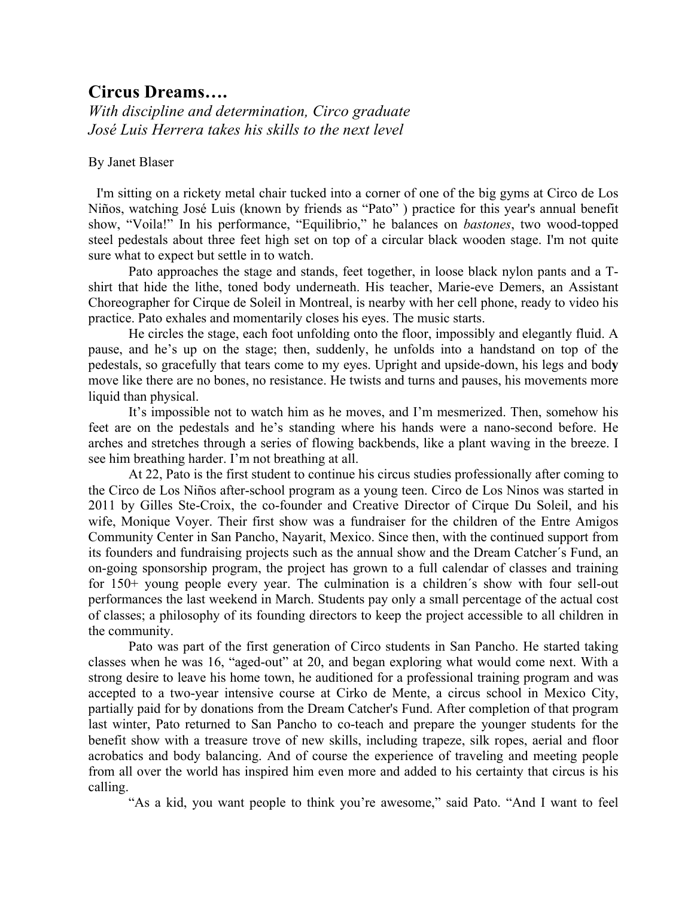## **Circus Dreams….**

*With discipline and determination, Circo graduate José Luis Herrera takes his skills to the next level*

## By Janet Blaser

I'm sitting on a rickety metal chair tucked into a corner of one of the big gyms at Circo de Los Niños, watching José Luis (known by friends as "Pato" ) practice for this year's annual benefit show, "Voila!" In his performance, "Equilibrio," he balances on *bastones*, two wood-topped steel pedestals about three feet high set on top of a circular black wooden stage. I'm not quite sure what to expect but settle in to watch.

Pato approaches the stage and stands, feet together, in loose black nylon pants and a Tshirt that hide the lithe, toned body underneath. His teacher, Marie-eve Demers, an Assistant Choreographer for Cirque de Soleil in Montreal, is nearby with her cell phone, ready to video his practice. Pato exhales and momentarily closes his eyes. The music starts.

He circles the stage, each foot unfolding onto the floor, impossibly and elegantly fluid. A pause, and he's up on the stage; then, suddenly, he unfolds into a handstand on top of the pedestals, so gracefully that tears come to my eyes. Upright and upside-down, his legs and bod**y**  move like there are no bones, no resistance. He twists and turns and pauses, his movements more liquid than physical.

It's impossible not to watch him as he moves, and I'm mesmerized. Then, somehow his feet are on the pedestals and he's standing where his hands were a nano-second before. He arches and stretches through a series of flowing backbends, like a plant waving in the breeze. I see him breathing harder. I'm not breathing at all.

At 22, Pato is the first student to continue his circus studies professionally after coming to the Circo de Los Niños after-school program as a young teen. Circo de Los Ninos was started in 2011 by Gilles Ste-Croix, the co-founder and Creative Director of Cirque Du Soleil, and his wife, Monique Voyer. Their first show was a fundraiser for the children of the Entre Amigos Community Center in San Pancho, Nayarit, Mexico. Since then, with the continued support from its founders and fundraising projects such as the annual show and the Dream Catcher´s Fund, an on-going sponsorship program, the project has grown to a full calendar of classes and training for 150+ young people every year. The culmination is a children´s show with four sell-out performances the last weekend in March. Students pay only a small percentage of the actual cost of classes; a philosophy of its founding directors to keep the project accessible to all children in the community.

Pato was part of the first generation of Circo students in San Pancho. He started taking classes when he was 16, "aged-out" at 20, and began exploring what would come next. With a strong desire to leave his home town, he auditioned for a professional training program and was accepted to a two-year intensive course at Cirko de Mente, a circus school in Mexico City, partially paid for by donations from the Dream Catcher's Fund. After completion of that program last winter, Pato returned to San Pancho to co-teach and prepare the younger students for the benefit show with a treasure trove of new skills, including trapeze, silk ropes, aerial and floor acrobatics and body balancing. And of course the experience of traveling and meeting people from all over the world has inspired him even more and added to his certainty that circus is his calling.

"As a kid, you want people to think you're awesome," said Pato. "And I want to feel